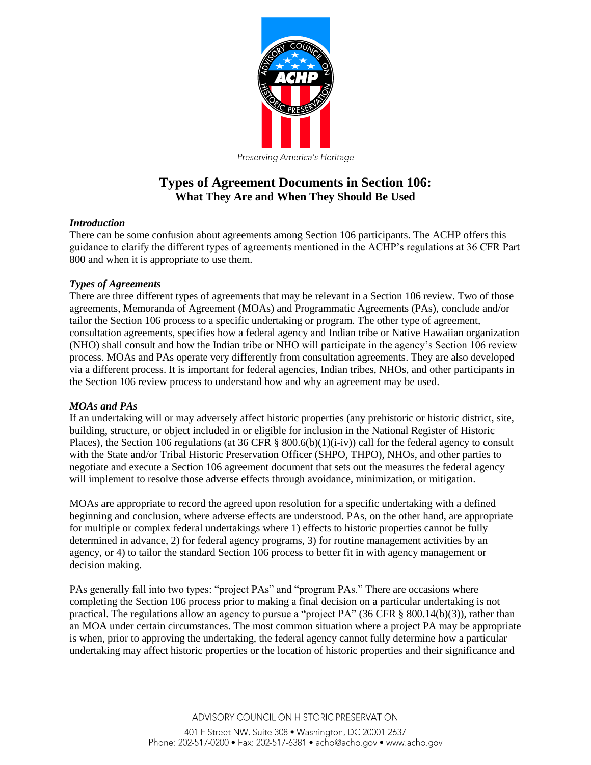

# **Types of Agreement Documents in Section 106: What They Are and When They Should Be Used**

## *Introduction*

There can be some confusion about agreements among Section 106 participants. The ACHP offers this guidance to clarify the different types of agreements mentioned in the ACHP's regulations at 36 CFR Part 800 and when it is appropriate to use them.

## *Types of Agreements*

There are three different types of agreements that may be relevant in a Section 106 review. Two of those agreements, Memoranda of Agreement (MOAs) and Programmatic Agreements (PAs), conclude and/or tailor the Section 106 process to a specific undertaking or program. The other type of agreement, consultation agreements, specifies how a federal agency and Indian tribe or Native Hawaiian organization (NHO) shall consult and how the Indian tribe or NHO will participate in the agency's Section 106 review process. MOAs and PAs operate very differently from consultation agreements. They are also developed via a different process. It is important for federal agencies, Indian tribes, NHOs, and other participants in the Section 106 review process to understand how and why an agreement may be used.

## *MOAs and PAs*

If an undertaking will or may adversely affect historic properties (any prehistoric or historic district, site, building, structure, or object included in or eligible for inclusion in the National Register of Historic Places), the Section 106 regulations (at 36 CFR § 800.6(b)(1)(i-iv)) call for the federal agency to consult with the State and/or Tribal Historic Preservation Officer (SHPO, THPO), NHOs, and other parties to negotiate and execute a Section 106 agreement document that sets out the measures the federal agency will implement to resolve those adverse effects through avoidance, minimization, or mitigation.

MOAs are appropriate to record the agreed upon resolution for a specific undertaking with a defined beginning and conclusion, where adverse effects are understood. PAs, on the other hand, are appropriate for multiple or complex federal undertakings where 1) effects to historic properties cannot be fully determined in advance, 2) for federal agency programs, 3) for routine management activities by an agency, or 4) to tailor the standard Section 106 process to better fit in with agency management or decision making.

PAs generally fall into two types: "project PAs" and "program PAs." There are occasions where completing the Section 106 process prior to making a final decision on a particular undertaking is not practical. The regulations allow an agency to pursue a "project PA" (36 CFR  $\S$  800.14(b)(3)), rather than an MOA under certain circumstances. The most common situation where a project PA may be appropriate is when, prior to approving the undertaking, the federal agency cannot fully determine how a particular undertaking may affect historic properties or the location of historic properties and their significance and

ADVISORY COUNCIL ON HISTORIC PRESERVATION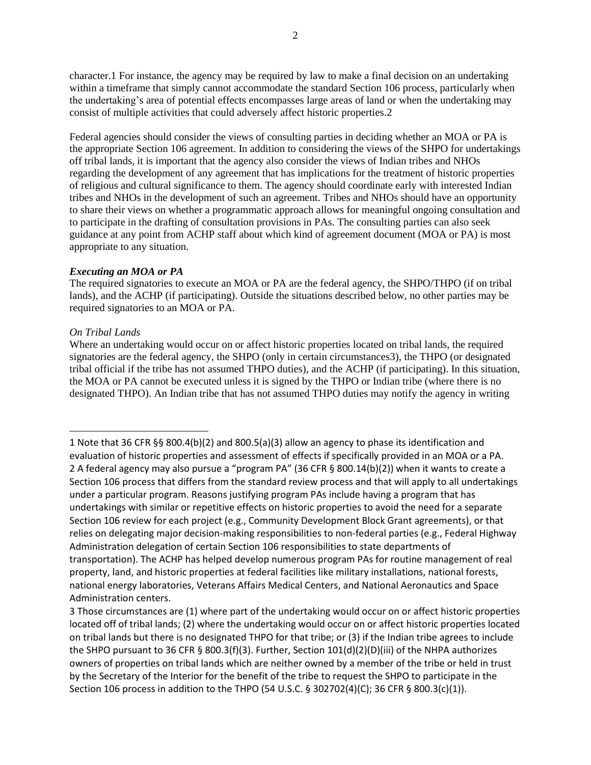character.1 For instance, the agency may be required by law to make a final decision on an undertaking within a timeframe that simply cannot accommodate the standard Section 106 process, particularly when the undertaking's area of potential effects encompasses large areas of land or when the undertaking may consist of multiple activities that could adversely affect historic properties.2

Federal agencies should consider the views of consulting parties in deciding whether an MOA or PA is the appropriate Section 106 agreement. In addition to considering the views of the SHPO for undertakings off tribal lands, it is important that the agency also consider the views of Indian tribes and NHOs regarding the development of any agreement that has implications for the treatment of historic properties of religious and cultural significance to them. The agency should coordinate early with interested Indian tribes and NHOs in the development of such an agreement. Tribes and NHOs should have an opportunity to share their views on whether a programmatic approach allows for meaningful ongoing consultation and to participate in the drafting of consultation provisions in PAs. The consulting parties can also seek guidance at any point from ACHP staff about which kind of agreement document (MOA or PA) is most appropriate to any situation.

## *Executing an MOA or PA*

The required signatories to execute an MOA or PA are the federal agency, the SHPO/THPO (if on tribal lands), and the ACHP (if participating). Outside the situations described below, no other parties may be required signatories to an MOA or PA.

## *On Tribal Lands*

l

Where an undertaking would occur on or affect historic properties located on tribal lands, the required signatories are the federal agency, the SHPO (only in certain circumstances3), the THPO (or designated tribal official if the tribe has not assumed THPO duties), and the ACHP (if participating). In this situation, the MOA or PA cannot be executed unless it is signed by the THPO or Indian tribe (where there is no designated THPO). An Indian tribe that has not assumed THPO duties may notify the agency in writing

<sup>1</sup> Note that 36 CFR §§ 800.4(b)(2) and 800.5(a)(3) allow an agency to phase its identification and evaluation of historic properties and assessment of effects if specifically provided in an MOA or a PA. 2 A federal agency may also pursue a "program PA" (36 CFR § 800.14(b)(2)) when it wants to create a Section 106 process that differs from the standard review process and that will apply to all undertakings under a particular program. Reasons justifying program PAs include having a program that has undertakings with similar or repetitive effects on historic properties to avoid the need for a separate Section 106 review for each project (e.g., Community Development Block Grant agreements), or that relies on delegating major decision-making responsibilities to non-federal parties (e.g., Federal Highway Administration delegation of certain Section 106 responsibilities to state departments of transportation). The ACHP has helped develop numerous program PAs for routine management of real property, land, and historic properties at federal facilities like military installations, national forests, national energy laboratories, Veterans Affairs Medical Centers, and National Aeronautics and Space Administration centers.

<sup>3</sup> Those circumstances are (1) where part of the undertaking would occur on or affect historic properties located off of tribal lands; (2) where the undertaking would occur on or affect historic properties located on tribal lands but there is no designated THPO for that tribe; or (3) if the Indian tribe agrees to include the SHPO pursuant to 36 CFR § 800.3(f)(3). Further, Section 101(d)(2)(D)(iii) of the NHPA authorizes owners of properties on tribal lands which are neither owned by a member of the tribe or held in trust by the Secretary of the Interior for the benefit of the tribe to request the SHPO to participate in the Section 106 process in addition to the THPO (54 U.S.C. § 302702(4)(C); 36 CFR § 800.3(c)(1)).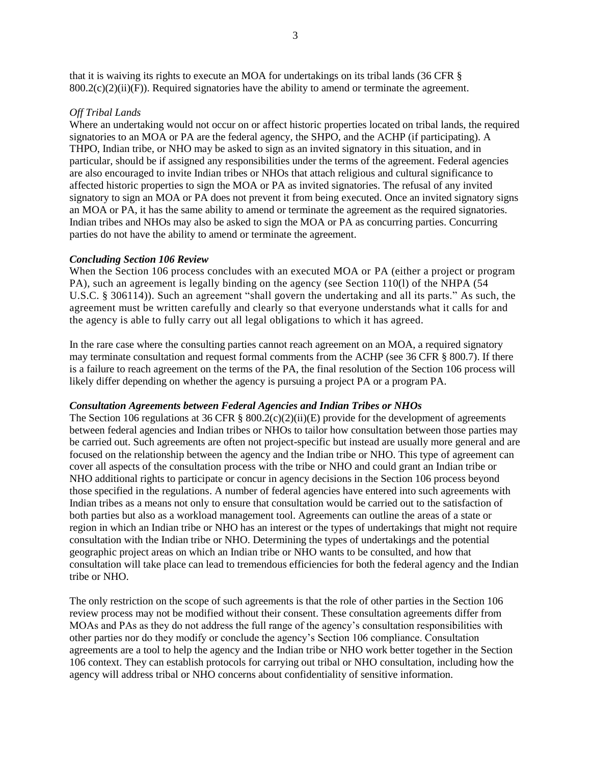that it is waiving its rights to execute an MOA for undertakings on its tribal lands (36 CFR §  $800.2(c)(2)(ii)(F)$ ). Required signatories have the ability to amend or terminate the agreement.

#### *Off Tribal Lands*

Where an undertaking would not occur on or affect historic properties located on tribal lands, the required signatories to an MOA or PA are the federal agency, the SHPO, and the ACHP (if participating). A THPO, Indian tribe, or NHO may be asked to sign as an invited signatory in this situation, and in particular, should be if assigned any responsibilities under the terms of the agreement. Federal agencies are also encouraged to invite Indian tribes or NHOs that attach religious and cultural significance to affected historic properties to sign the MOA or PA as invited signatories. The refusal of any invited signatory to sign an MOA or PA does not prevent it from being executed. Once an invited signatory signs an MOA or PA, it has the same ability to amend or terminate the agreement as the required signatories. Indian tribes and NHOs may also be asked to sign the MOA or PA as concurring parties. Concurring parties do not have the ability to amend or terminate the agreement.

#### *Concluding Section 106 Review*

When the Section 106 process concludes with an executed MOA or PA (either a project or program PA), such an agreement is legally binding on the agency (see Section 110(l) of the NHPA (54 U.S.C. § 306114)). Such an agreement "shall govern the undertaking and all its parts." As such, the agreement must be written carefully and clearly so that everyone understands what it calls for and the agency is able to fully carry out all legal obligations to which it has agreed.

In the rare case where the consulting parties cannot reach agreement on an MOA, a required signatory may terminate consultation and request formal comments from the ACHP (see 36 CFR § 800.7). If there is a failure to reach agreement on the terms of the PA, the final resolution of the Section 106 process will likely differ depending on whether the agency is pursuing a project PA or a program PA.

#### *Consultation Agreements between Federal Agencies and Indian Tribes or NHOs*

The Section 106 regulations at 36 CFR §  $800.2(c)(2)(ii)(E)$  provide for the development of agreements between federal agencies and Indian tribes or NHOs to tailor how consultation between those parties may be carried out. Such agreements are often not project-specific but instead are usually more general and are focused on the relationship between the agency and the Indian tribe or NHO. This type of agreement can cover all aspects of the consultation process with the tribe or NHO and could grant an Indian tribe or NHO additional rights to participate or concur in agency decisions in the Section 106 process beyond those specified in the regulations. A number of federal agencies have entered into such agreements with Indian tribes as a means not only to ensure that consultation would be carried out to the satisfaction of both parties but also as a workload management tool. Agreements can outline the areas of a state or region in which an Indian tribe or NHO has an interest or the types of undertakings that might not require consultation with the Indian tribe or NHO. Determining the types of undertakings and the potential geographic project areas on which an Indian tribe or NHO wants to be consulted, and how that consultation will take place can lead to tremendous efficiencies for both the federal agency and the Indian tribe or NHO.

The only restriction on the scope of such agreements is that the role of other parties in the Section 106 review process may not be modified without their consent. These consultation agreements differ from MOAs and PAs as they do not address the full range of the agency's consultation responsibilities with other parties nor do they modify or conclude the agency's Section 106 compliance. Consultation agreements are a tool to help the agency and the Indian tribe or NHO work better together in the Section 106 context. They can establish protocols for carrying out tribal or NHO consultation, including how the agency will address tribal or NHO concerns about confidentiality of sensitive information.